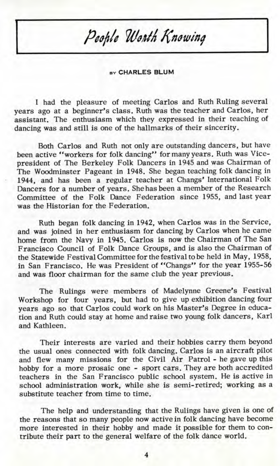## People Worth Knowing

**BY CHARLES BLUM**

I had the pleasure of meeting Carlos and Ruth Ruling several years ago at a beginner's class. Ruth was the teacher and Carlos, her assistant. The enthusiasm which they expressed in their teaching of dancing was and still is one of the hallmarks of their sincerity.

Both Carlos and Ruth not only are outstanding dancers, but have been active "workers for folk dancing" for many years. Ruth was Vicepresident of The Berkeley Folk Dancers in 1945 and was Chairman of The Woodminster Pageant in 1948. She began teaching folk dancing in 1944, and has been a regular teacher at Changs' International Folk Dancers for a number of years. She has been a member of the Research Committee of the Folk Dance Federation since 1955, and last year was the Historian for the Federation.

Ruth began folk dancing in 1942, when Carlos was in the Service, and was joined in her enthusiasm for dancing by Carlos when he came home from the Navy in 1945. Carlos is now the Chairman of The San Francisco Council of Folk Dance Groups, and is also the Chairman of the Statewide Festival Committee for the festival to be held in May, 1958, in San Francisco. He was President of "Changs" for the year 1955-56 and was floor chairman for the same club the year previous.

The Rulings were members of Madelynne Greene's Festival Workshop for four years, but had to give up exhibition dancing four years ago so that Carlos could work on his Master's Degree in education and Ruth could stay at home and raise two young folk dancers, Karl and Kathleen.

Their interests are varied and their hobbies carry them beyond the usual ones connected with folk dancing. Carlos is an aircraft pilot and flew many missions for the Civil Air Patrol - he gave up this hobby for a more prosaic one - sport cars. They are both accredited teachers in the San Francisco public school system. He is active in school administration work, while she is semi-retired; working as a substitute teacher from time to time.

The help and understanding that the Rulings have given is one of the reasons that so many people now active in folk dancing have become more interested in their hobby and made it possible for them to contribute their part to the general welfare of the folk dance world.